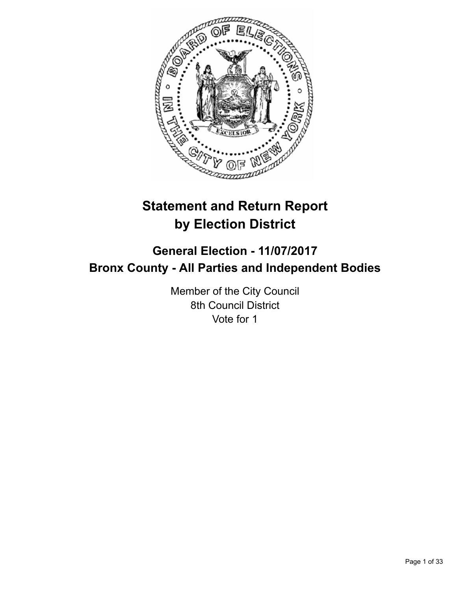

# **Statement and Return Report by Election District**

## **General Election - 11/07/2017 Bronx County - All Parties and Independent Bodies**

Member of the City Council 8th Council District Vote for 1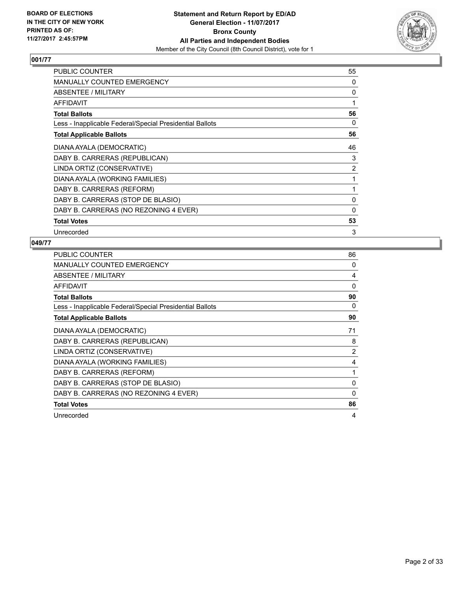

| PUBLIC COUNTER                                           | 55             |
|----------------------------------------------------------|----------------|
| MANUALLY COUNTED EMERGENCY                               | 0              |
| ABSENTEE / MILITARY                                      | 0              |
| <b>AFFIDAVIT</b>                                         | 1              |
| <b>Total Ballots</b>                                     | 56             |
| Less - Inapplicable Federal/Special Presidential Ballots | 0              |
| <b>Total Applicable Ballots</b>                          | 56             |
| DIANA AYALA (DEMOCRATIC)                                 | 46             |
| DABY B. CARRERAS (REPUBLICAN)                            | 3              |
| LINDA ORTIZ (CONSERVATIVE)                               | $\overline{2}$ |
| DIANA AYALA (WORKING FAMILIES)                           | 1              |
| DABY B. CARRERAS (REFORM)                                | 1              |
| DABY B. CARRERAS (STOP DE BLASIO)                        | 0              |
| DABY B. CARRERAS (NO REZONING 4 EVER)                    | 0              |
| <b>Total Votes</b>                                       | 53             |
| Unrecorded                                               | 3              |

| <b>PUBLIC COUNTER</b>                                    | 86       |
|----------------------------------------------------------|----------|
| <b>MANUALLY COUNTED EMERGENCY</b>                        | 0        |
| ABSENTEE / MILITARY                                      | 4        |
| <b>AFFIDAVIT</b>                                         | $\Omega$ |
| <b>Total Ballots</b>                                     | 90       |
| Less - Inapplicable Federal/Special Presidential Ballots | 0        |
| <b>Total Applicable Ballots</b>                          | 90       |
| DIANA AYALA (DEMOCRATIC)                                 | 71       |
| DABY B. CARRERAS (REPUBLICAN)                            | 8        |
| LINDA ORTIZ (CONSERVATIVE)                               | 2        |
| DIANA AYALA (WORKING FAMILIES)                           | 4        |
| DABY B. CARRERAS (REFORM)                                | 1        |
| DABY B. CARRERAS (STOP DE BLASIO)                        | 0        |
| DABY B. CARRERAS (NO REZONING 4 EVER)                    | 0        |
| <b>Total Votes</b>                                       | 86       |
| Unrecorded                                               | 4        |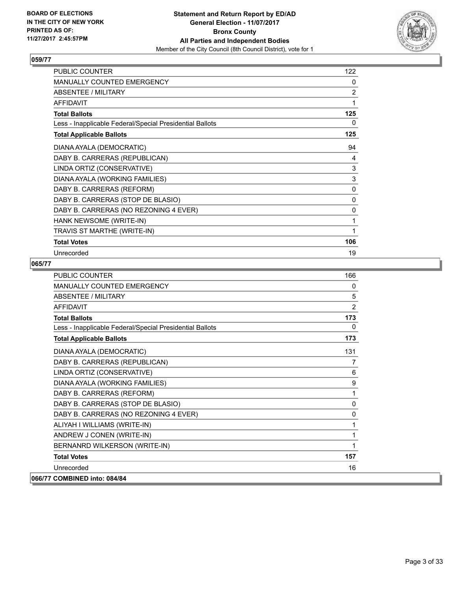

| <b>PUBLIC COUNTER</b>                                    | 122            |
|----------------------------------------------------------|----------------|
| <b>MANUALLY COUNTED EMERGENCY</b>                        | 0              |
| ABSENTEE / MILITARY                                      | $\overline{2}$ |
| <b>AFFIDAVIT</b>                                         | 1              |
| <b>Total Ballots</b>                                     | 125            |
| Less - Inapplicable Federal/Special Presidential Ballots | 0              |
| <b>Total Applicable Ballots</b>                          | 125            |
| DIANA AYALA (DEMOCRATIC)                                 | 94             |
| DABY B. CARRERAS (REPUBLICAN)                            | 4              |
| LINDA ORTIZ (CONSERVATIVE)                               | 3              |
| DIANA AYALA (WORKING FAMILIES)                           | 3              |
| DABY B. CARRERAS (REFORM)                                | 0              |
| DABY B. CARRERAS (STOP DE BLASIO)                        | 0              |
| DABY B. CARRERAS (NO REZONING 4 EVER)                    | 0              |
| HANK NEWSOME (WRITE-IN)                                  | 1              |
| TRAVIS ST MARTHE (WRITE-IN)                              | 1              |
| <b>Total Votes</b>                                       | 106            |
| Unrecorded                                               | 19             |

| <b>PUBLIC COUNTER</b>                                    | 166            |
|----------------------------------------------------------|----------------|
| <b>MANUALLY COUNTED EMERGENCY</b>                        | 0              |
| ABSENTEE / MILITARY                                      | 5              |
| <b>AFFIDAVIT</b>                                         | 2              |
| <b>Total Ballots</b>                                     | 173            |
| Less - Inapplicable Federal/Special Presidential Ballots | 0              |
| <b>Total Applicable Ballots</b>                          | 173            |
| DIANA AYALA (DEMOCRATIC)                                 | 131            |
| DABY B. CARRERAS (REPUBLICAN)                            | $\overline{7}$ |
| LINDA ORTIZ (CONSERVATIVE)                               | 6              |
| DIANA AYALA (WORKING FAMILIES)                           | 9              |
| DABY B. CARRERAS (REFORM)                                | 1              |
| DABY B. CARRERAS (STOP DE BLASIO)                        | 0              |
| DABY B. CARRERAS (NO REZONING 4 EVER)                    | 0              |
| ALIYAH I WILLIAMS (WRITE-IN)                             | 1              |
| ANDREW J CONEN (WRITE-IN)                                | 1              |
| BERNANRD WILKERSON (WRITE-IN)                            | 1              |
| <b>Total Votes</b>                                       | 157            |
| Unrecorded                                               | 16             |
| 066/77 COMBINED into: 084/84                             |                |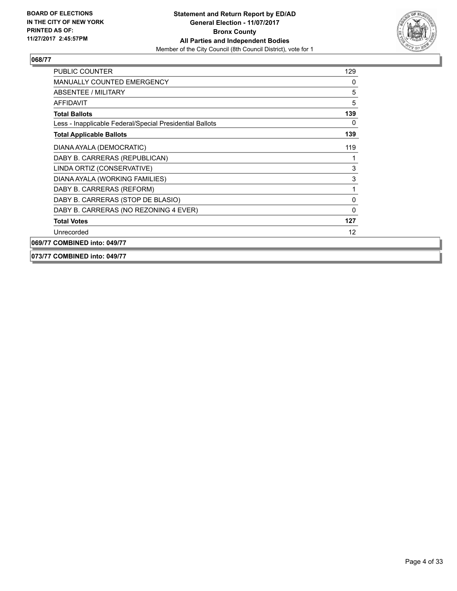

| <b>PUBLIC COUNTER</b>                                    | 129 |
|----------------------------------------------------------|-----|
| <b>MANUALLY COUNTED EMERGENCY</b>                        | 0   |
| <b>ABSENTEE / MILITARY</b>                               | 5   |
| AFFIDAVIT                                                | 5   |
| <b>Total Ballots</b>                                     | 139 |
| Less - Inapplicable Federal/Special Presidential Ballots | 0   |
| <b>Total Applicable Ballots</b>                          | 139 |
| DIANA AYALA (DEMOCRATIC)                                 | 119 |
| DABY B. CARRERAS (REPUBLICAN)                            |     |
| LINDA ORTIZ (CONSERVATIVE)                               | 3   |
| DIANA AYALA (WORKING FAMILIES)                           | 3   |
| DABY B. CARRERAS (REFORM)                                | 1   |
| DABY B. CARRERAS (STOP DE BLASIO)                        | 0   |
| DABY B. CARRERAS (NO REZONING 4 EVER)                    | 0   |
| <b>Total Votes</b>                                       | 127 |
| Unrecorded                                               | 12  |
| 069/77 COMBINED into: 049/77                             |     |

#### **073/77 COMBINED into: 049/77**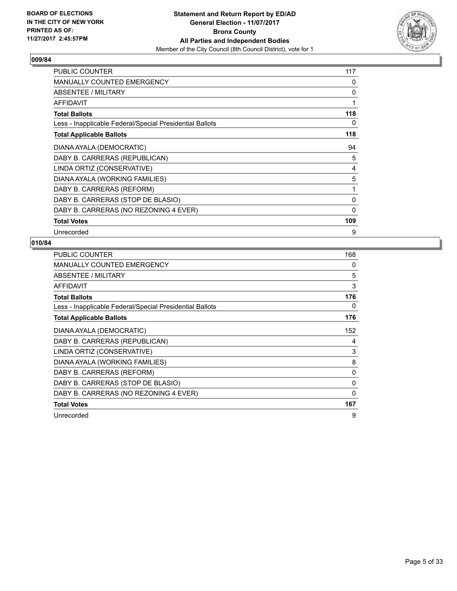

| <b>PUBLIC COUNTER</b>                                    | 117 |
|----------------------------------------------------------|-----|
| <b>MANUALLY COUNTED EMERGENCY</b>                        | 0   |
| ABSENTEE / MILITARY                                      | 0   |
| <b>AFFIDAVIT</b>                                         | 1   |
| <b>Total Ballots</b>                                     | 118 |
| Less - Inapplicable Federal/Special Presidential Ballots | 0   |
| <b>Total Applicable Ballots</b>                          | 118 |
| DIANA AYALA (DEMOCRATIC)                                 | 94  |
| DABY B. CARRERAS (REPUBLICAN)                            | 5   |
| LINDA ORTIZ (CONSERVATIVE)                               | 4   |
| DIANA AYALA (WORKING FAMILIES)                           | 5   |
| DABY B. CARRERAS (REFORM)                                | 1   |
| DABY B. CARRERAS (STOP DE BLASIO)                        | 0   |
| DABY B. CARRERAS (NO REZONING 4 EVER)                    | 0   |
| <b>Total Votes</b>                                       | 109 |
| Unrecorded                                               | 9   |

| <b>PUBLIC COUNTER</b>                                    | 168 |
|----------------------------------------------------------|-----|
| MANUALLY COUNTED EMERGENCY                               | 0   |
| ABSENTEE / MILITARY                                      | 5   |
| AFFIDAVIT                                                | 3   |
| <b>Total Ballots</b>                                     | 176 |
| Less - Inapplicable Federal/Special Presidential Ballots | 0   |
| <b>Total Applicable Ballots</b>                          | 176 |
| DIANA AYALA (DEMOCRATIC)                                 | 152 |
| DABY B. CARRERAS (REPUBLICAN)                            | 4   |
| LINDA ORTIZ (CONSERVATIVE)                               | 3   |
| DIANA AYALA (WORKING FAMILIES)                           | 8   |
| DABY B. CARRERAS (REFORM)                                | 0   |
| DABY B. CARRERAS (STOP DE BLASIO)                        | 0   |
| DABY B. CARRERAS (NO REZONING 4 EVER)                    | 0   |
| <b>Total Votes</b>                                       | 167 |
| Unrecorded                                               | 9   |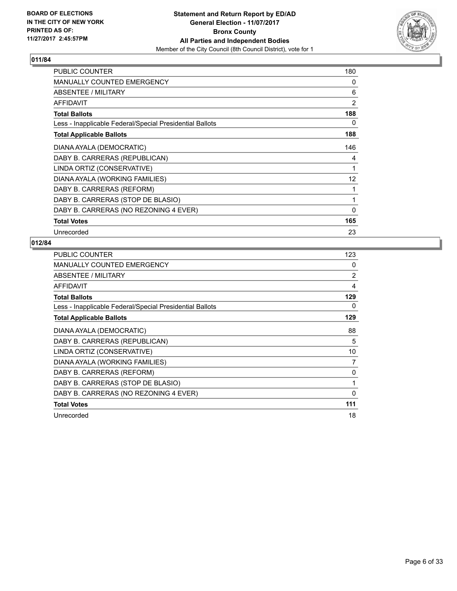

| <b>PUBLIC COUNTER</b>                                    | 180            |
|----------------------------------------------------------|----------------|
| <b>MANUALLY COUNTED EMERGENCY</b>                        | 0              |
| ABSENTEE / MILITARY                                      | 6              |
| <b>AFFIDAVIT</b>                                         | $\overline{2}$ |
| <b>Total Ballots</b>                                     | 188            |
| Less - Inapplicable Federal/Special Presidential Ballots | 0              |
| <b>Total Applicable Ballots</b>                          | 188            |
| DIANA AYALA (DEMOCRATIC)                                 | 146            |
| DABY B. CARRERAS (REPUBLICAN)                            | 4              |
| LINDA ORTIZ (CONSERVATIVE)                               | 1              |
| DIANA AYALA (WORKING FAMILIES)                           | 12             |
| DABY B. CARRERAS (REFORM)                                | 1              |
| DABY B. CARRERAS (STOP DE BLASIO)                        | 1              |
| DABY B. CARRERAS (NO REZONING 4 EVER)                    | $\mathbf{0}$   |
| <b>Total Votes</b>                                       | 165            |
| Unrecorded                                               | 23             |

| <b>PUBLIC COUNTER</b>                                    | 123            |
|----------------------------------------------------------|----------------|
| <b>MANUALLY COUNTED EMERGENCY</b>                        | 0              |
| ABSENTEE / MILITARY                                      | $\overline{2}$ |
| AFFIDAVIT                                                | 4              |
| <b>Total Ballots</b>                                     | 129            |
| Less - Inapplicable Federal/Special Presidential Ballots | 0              |
| <b>Total Applicable Ballots</b>                          | 129            |
| DIANA AYALA (DEMOCRATIC)                                 | 88             |
| DABY B. CARRERAS (REPUBLICAN)                            | 5              |
| LINDA ORTIZ (CONSERVATIVE)                               | 10             |
| DIANA AYALA (WORKING FAMILIES)                           | 7              |
| DABY B. CARRERAS (REFORM)                                | 0              |
| DABY B. CARRERAS (STOP DE BLASIO)                        | 1              |
| DABY B. CARRERAS (NO REZONING 4 EVER)                    | $\mathbf{0}$   |
| <b>Total Votes</b>                                       | 111            |
| Unrecorded                                               | 18             |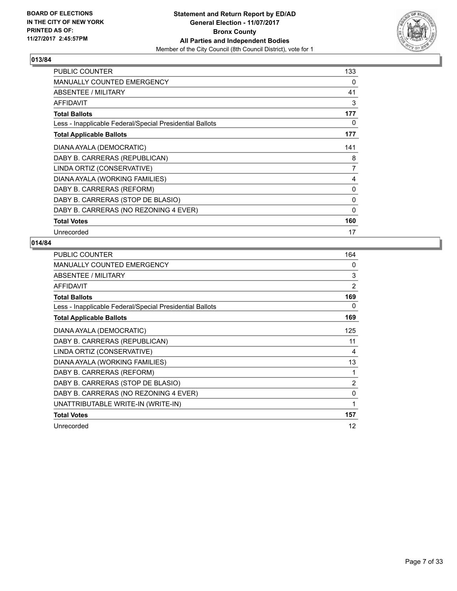

| <b>PUBLIC COUNTER</b>                                    | 133 |
|----------------------------------------------------------|-----|
| <b>MANUALLY COUNTED EMERGENCY</b>                        | 0   |
| ABSENTEE / MILITARY                                      | 41  |
| <b>AFFIDAVIT</b>                                         | 3   |
| <b>Total Ballots</b>                                     | 177 |
| Less - Inapplicable Federal/Special Presidential Ballots | 0   |
| <b>Total Applicable Ballots</b>                          | 177 |
| DIANA AYALA (DEMOCRATIC)                                 | 141 |
| DABY B. CARRERAS (REPUBLICAN)                            | 8   |
| LINDA ORTIZ (CONSERVATIVE)                               | 7   |
| DIANA AYALA (WORKING FAMILIES)                           | 4   |
| DABY B. CARRERAS (REFORM)                                | 0   |
| DABY B. CARRERAS (STOP DE BLASIO)                        | 0   |
| DABY B. CARRERAS (NO REZONING 4 EVER)                    | 0   |
| <b>Total Votes</b>                                       | 160 |
| Unrecorded                                               | 17  |

| <b>PUBLIC COUNTER</b>                                    | 164            |
|----------------------------------------------------------|----------------|
| <b>MANUALLY COUNTED EMERGENCY</b>                        | 0              |
| ABSENTEE / MILITARY                                      | 3              |
| <b>AFFIDAVIT</b>                                         | $\overline{2}$ |
| <b>Total Ballots</b>                                     | 169            |
| Less - Inapplicable Federal/Special Presidential Ballots | 0              |
| <b>Total Applicable Ballots</b>                          | 169            |
| DIANA AYALA (DEMOCRATIC)                                 | 125            |
| DABY B. CARRERAS (REPUBLICAN)                            | 11             |
| LINDA ORTIZ (CONSERVATIVE)                               | 4              |
| DIANA AYALA (WORKING FAMILIES)                           | 13             |
| DABY B. CARRERAS (REFORM)                                | 1              |
| DABY B. CARRERAS (STOP DE BLASIO)                        | $\overline{2}$ |
| DABY B. CARRERAS (NO REZONING 4 EVER)                    | $\mathbf{0}$   |
| UNATTRIBUTABLE WRITE-IN (WRITE-IN)                       | 1              |
| <b>Total Votes</b>                                       | 157            |
| Unrecorded                                               | 12             |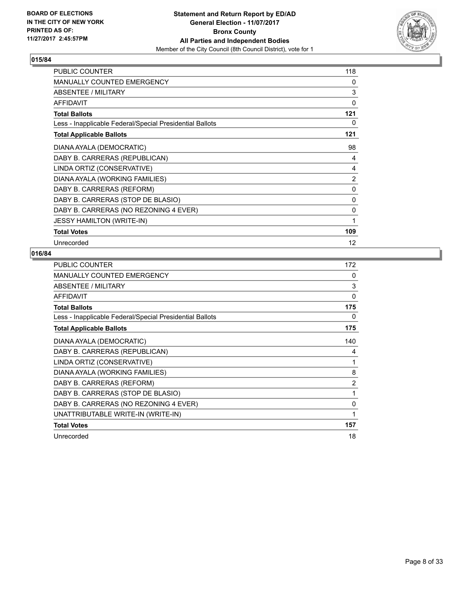

| <b>PUBLIC COUNTER</b>                                    | 118 |
|----------------------------------------------------------|-----|
| MANUALLY COUNTED EMERGENCY                               | 0   |
| ABSENTEE / MILITARY                                      | 3   |
| <b>AFFIDAVIT</b>                                         | 0   |
| <b>Total Ballots</b>                                     | 121 |
| Less - Inapplicable Federal/Special Presidential Ballots | 0   |
| <b>Total Applicable Ballots</b>                          | 121 |
| DIANA AYALA (DEMOCRATIC)                                 | 98  |
| DABY B. CARRERAS (REPUBLICAN)                            | 4   |
| LINDA ORTIZ (CONSERVATIVE)                               | 4   |
| DIANA AYALA (WORKING FAMILIES)                           | 2   |
| DABY B. CARRERAS (REFORM)                                | 0   |
| DABY B. CARRERAS (STOP DE BLASIO)                        | 0   |
| DABY B. CARRERAS (NO REZONING 4 EVER)                    | 0   |
| <b>JESSY HAMILTON (WRITE-IN)</b>                         | 1   |
| <b>Total Votes</b>                                       | 109 |
| Unrecorded                                               | 12  |

| <b>PUBLIC COUNTER</b>                                    | 172 |
|----------------------------------------------------------|-----|
| <b>MANUALLY COUNTED EMERGENCY</b>                        | 0   |
| ABSENTEE / MILITARY                                      | 3   |
| <b>AFFIDAVIT</b>                                         | 0   |
| <b>Total Ballots</b>                                     | 175 |
| Less - Inapplicable Federal/Special Presidential Ballots | 0   |
| <b>Total Applicable Ballots</b>                          | 175 |
| DIANA AYALA (DEMOCRATIC)                                 | 140 |
| DABY B. CARRERAS (REPUBLICAN)                            | 4   |
| LINDA ORTIZ (CONSERVATIVE)                               | 1   |
| DIANA AYALA (WORKING FAMILIES)                           | 8   |
| DABY B. CARRERAS (REFORM)                                | 2   |
| DABY B. CARRERAS (STOP DE BLASIO)                        | 1   |
| DABY B. CARRERAS (NO REZONING 4 EVER)                    | 0   |
| UNATTRIBUTABLE WRITE-IN (WRITE-IN)                       | 1   |
| <b>Total Votes</b>                                       | 157 |
| Unrecorded                                               | 18  |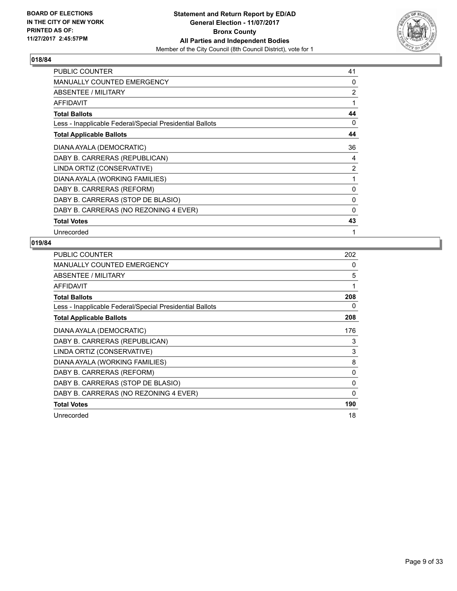

| <b>PUBLIC COUNTER</b>                                    | 41             |
|----------------------------------------------------------|----------------|
| <b>MANUALLY COUNTED EMERGENCY</b>                        | 0              |
| ABSENTEE / MILITARY                                      | 2              |
| AFFIDAVIT                                                | 1              |
| <b>Total Ballots</b>                                     | 44             |
| Less - Inapplicable Federal/Special Presidential Ballots | 0              |
| <b>Total Applicable Ballots</b>                          | 44             |
| DIANA AYALA (DEMOCRATIC)                                 | 36             |
| DABY B. CARRERAS (REPUBLICAN)                            | 4              |
| LINDA ORTIZ (CONSERVATIVE)                               | $\overline{2}$ |
| DIANA AYALA (WORKING FAMILIES)                           | 1              |
| DABY B. CARRERAS (REFORM)                                | $\mathbf{0}$   |
| DABY B. CARRERAS (STOP DE BLASIO)                        | 0              |
| DABY B. CARRERAS (NO REZONING 4 EVER)                    | 0              |
| <b>Total Votes</b>                                       | 43             |
| Unrecorded                                               | 1              |

| <b>PUBLIC COUNTER</b>                                    | 202 |
|----------------------------------------------------------|-----|
| MANUALLY COUNTED EMERGENCY                               | 0   |
| ABSENTEE / MILITARY                                      | 5   |
| AFFIDAVIT                                                | 1   |
| <b>Total Ballots</b>                                     | 208 |
| Less - Inapplicable Federal/Special Presidential Ballots | 0   |
| <b>Total Applicable Ballots</b>                          | 208 |
| DIANA AYALA (DEMOCRATIC)                                 | 176 |
| DABY B. CARRERAS (REPUBLICAN)                            | 3   |
| LINDA ORTIZ (CONSERVATIVE)                               | 3   |
| DIANA AYALA (WORKING FAMILIES)                           | 8   |
| DABY B. CARRERAS (REFORM)                                | 0   |
| DABY B. CARRERAS (STOP DE BLASIO)                        | 0   |
| DABY B. CARRERAS (NO REZONING 4 EVER)                    | 0   |
| <b>Total Votes</b>                                       | 190 |
| Unrecorded                                               | 18  |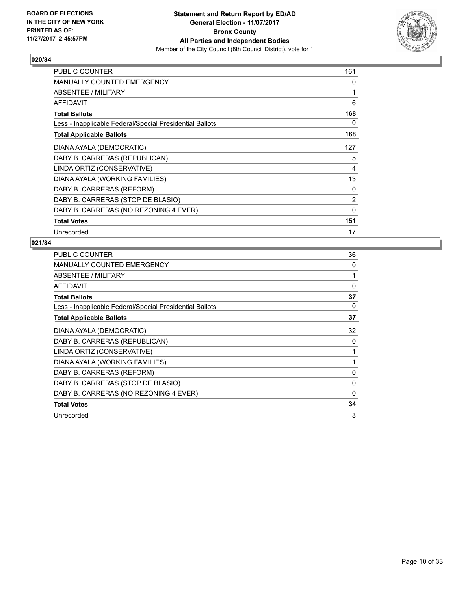

| <b>PUBLIC COUNTER</b>                                    | 161          |
|----------------------------------------------------------|--------------|
| <b>MANUALLY COUNTED EMERGENCY</b>                        | 0            |
| ABSENTEE / MILITARY                                      | 1            |
| <b>AFFIDAVIT</b>                                         | 6            |
| <b>Total Ballots</b>                                     | 168          |
| Less - Inapplicable Federal/Special Presidential Ballots | 0            |
| <b>Total Applicable Ballots</b>                          | 168          |
| DIANA AYALA (DEMOCRATIC)                                 | 127          |
| DABY B. CARRERAS (REPUBLICAN)                            | 5            |
| LINDA ORTIZ (CONSERVATIVE)                               | 4            |
| DIANA AYALA (WORKING FAMILIES)                           | 13           |
| DABY B. CARRERAS (REFORM)                                | 0            |
| DABY B. CARRERAS (STOP DE BLASIO)                        | 2            |
| DABY B. CARRERAS (NO REZONING 4 EVER)                    | $\mathbf{0}$ |
| <b>Total Votes</b>                                       | 151          |
| Unrecorded                                               | 17           |

| PUBLIC COUNTER                                           | 36       |
|----------------------------------------------------------|----------|
| <b>MANUALLY COUNTED EMERGENCY</b>                        | 0        |
| ABSENTEE / MILITARY                                      | 1        |
| <b>AFFIDAVIT</b>                                         | $\Omega$ |
| <b>Total Ballots</b>                                     | 37       |
| Less - Inapplicable Federal/Special Presidential Ballots | 0        |
| <b>Total Applicable Ballots</b>                          | 37       |
| DIANA AYALA (DEMOCRATIC)                                 | 32       |
| DABY B. CARRERAS (REPUBLICAN)                            | 0        |
| LINDA ORTIZ (CONSERVATIVE)                               |          |
| DIANA AYALA (WORKING FAMILIES)                           |          |
| DABY B. CARRERAS (REFORM)                                | 0        |
| DABY B. CARRERAS (STOP DE BLASIO)                        | 0        |
| DABY B. CARRERAS (NO REZONING 4 EVER)                    | 0        |
| <b>Total Votes</b>                                       | 34       |
| Unrecorded                                               | 3        |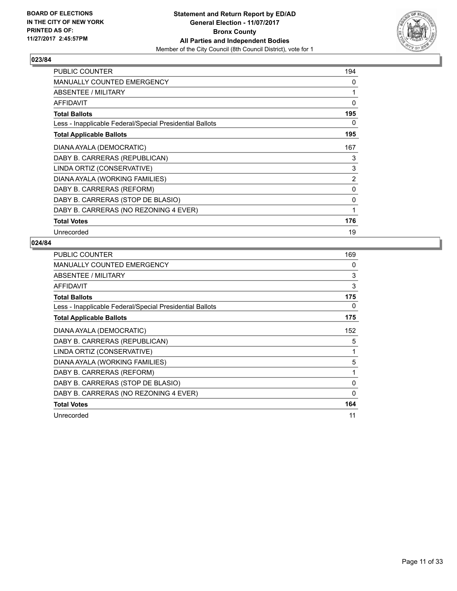

| <b>PUBLIC COUNTER</b>                                    | 194          |
|----------------------------------------------------------|--------------|
| <b>MANUALLY COUNTED EMERGENCY</b>                        | 0            |
| ABSENTEE / MILITARY                                      | 1            |
| <b>AFFIDAVIT</b>                                         | $\mathbf{0}$ |
| <b>Total Ballots</b>                                     | 195          |
| Less - Inapplicable Federal/Special Presidential Ballots | 0            |
| <b>Total Applicable Ballots</b>                          | 195          |
| DIANA AYALA (DEMOCRATIC)                                 | 167          |
| DABY B. CARRERAS (REPUBLICAN)                            | 3            |
| LINDA ORTIZ (CONSERVATIVE)                               | 3            |
| DIANA AYALA (WORKING FAMILIES)                           | 2            |
| DABY B. CARRERAS (REFORM)                                | 0            |
| DABY B. CARRERAS (STOP DE BLASIO)                        | 0            |
| DABY B. CARRERAS (NO REZONING 4 EVER)                    | 1            |
| <b>Total Votes</b>                                       | 176          |
| Unrecorded                                               | 19           |

| PUBLIC COUNTER                                           | 169      |
|----------------------------------------------------------|----------|
| <b>MANUALLY COUNTED EMERGENCY</b>                        | 0        |
| <b>ABSENTEE / MILITARY</b>                               | 3        |
| <b>AFFIDAVIT</b>                                         | 3        |
| <b>Total Ballots</b>                                     | 175      |
| Less - Inapplicable Federal/Special Presidential Ballots | 0        |
| <b>Total Applicable Ballots</b>                          | 175      |
| DIANA AYALA (DEMOCRATIC)                                 | 152      |
| DABY B. CARRERAS (REPUBLICAN)                            | 5        |
| LINDA ORTIZ (CONSERVATIVE)                               | 1        |
| DIANA AYALA (WORKING FAMILIES)                           | 5        |
| DABY B. CARRERAS (REFORM)                                | 1        |
| DABY B. CARRERAS (STOP DE BLASIO)                        | 0        |
| DABY B. CARRERAS (NO REZONING 4 EVER)                    | $\Omega$ |
| <b>Total Votes</b>                                       | 164      |
| Unrecorded                                               | 11       |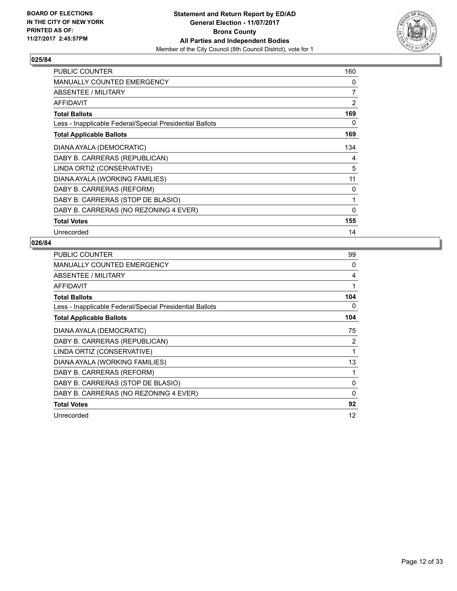

| <b>PUBLIC COUNTER</b>                                    | 160 |
|----------------------------------------------------------|-----|
| <b>MANUALLY COUNTED EMERGENCY</b>                        | 0   |
| ABSENTEE / MILITARY                                      | 7   |
| <b>AFFIDAVIT</b>                                         | 2   |
| <b>Total Ballots</b>                                     | 169 |
| Less - Inapplicable Federal/Special Presidential Ballots | 0   |
| <b>Total Applicable Ballots</b>                          | 169 |
| DIANA AYALA (DEMOCRATIC)                                 | 134 |
| DABY B. CARRERAS (REPUBLICAN)                            | 4   |
| LINDA ORTIZ (CONSERVATIVE)                               | 5   |
| DIANA AYALA (WORKING FAMILIES)                           | 11  |
| DABY B. CARRERAS (REFORM)                                | 0   |
| DABY B. CARRERAS (STOP DE BLASIO)                        | 1   |
| DABY B. CARRERAS (NO REZONING 4 EVER)                    | 0   |
| <b>Total Votes</b>                                       | 155 |
| Unrecorded                                               | 14  |

| <b>PUBLIC COUNTER</b>                                    | 99  |
|----------------------------------------------------------|-----|
| <b>MANUALLY COUNTED EMERGENCY</b>                        | 0   |
| ABSENTEE / MILITARY                                      | 4   |
| <b>AFFIDAVIT</b>                                         | 1   |
| <b>Total Ballots</b>                                     | 104 |
| Less - Inapplicable Federal/Special Presidential Ballots | 0   |
| <b>Total Applicable Ballots</b>                          | 104 |
| DIANA AYALA (DEMOCRATIC)                                 | 75  |
| DABY B. CARRERAS (REPUBLICAN)                            | 2   |
| LINDA ORTIZ (CONSERVATIVE)                               | 1   |
| DIANA AYALA (WORKING FAMILIES)                           | 13  |
| DABY B. CARRERAS (REFORM)                                |     |
| DABY B. CARRERAS (STOP DE BLASIO)                        | 0   |
| DABY B. CARRERAS (NO REZONING 4 EVER)                    | 0   |
| <b>Total Votes</b>                                       | 92  |
| Unrecorded                                               | 12  |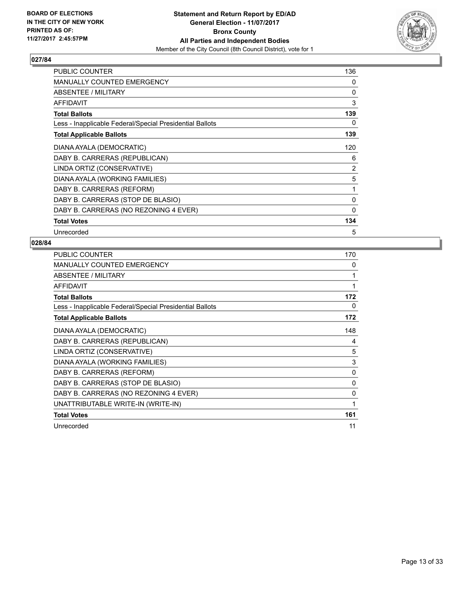

| PUBLIC COUNTER                                           | 136            |
|----------------------------------------------------------|----------------|
| <b>MANUALLY COUNTED EMERGENCY</b>                        | 0              |
| ABSENTEE / MILITARY                                      | 0              |
| AFFIDAVIT                                                | 3              |
| <b>Total Ballots</b>                                     | 139            |
| Less - Inapplicable Federal/Special Presidential Ballots | 0              |
| <b>Total Applicable Ballots</b>                          | 139            |
| DIANA AYALA (DEMOCRATIC)                                 | 120            |
| DABY B. CARRERAS (REPUBLICAN)                            | 6              |
| LINDA ORTIZ (CONSERVATIVE)                               | $\overline{2}$ |
| DIANA AYALA (WORKING FAMILIES)                           | 5              |
| DABY B. CARRERAS (REFORM)                                | 1              |
| DABY B. CARRERAS (STOP DE BLASIO)                        | 0              |
| DABY B. CARRERAS (NO REZONING 4 EVER)                    | 0              |
| <b>Total Votes</b>                                       | 134            |
| Unrecorded                                               | 5              |

| PUBLIC COUNTER                                           | 170          |
|----------------------------------------------------------|--------------|
| MANUALLY COUNTED EMERGENCY                               | $\mathbf{0}$ |
| ABSENTEE / MILITARY                                      | 1            |
| <b>AFFIDAVIT</b>                                         | 1            |
| <b>Total Ballots</b>                                     | 172          |
| Less - Inapplicable Federal/Special Presidential Ballots | 0            |
| <b>Total Applicable Ballots</b>                          | 172          |
| DIANA AYALA (DEMOCRATIC)                                 | 148          |
| DABY B. CARRERAS (REPUBLICAN)                            | 4            |
| LINDA ORTIZ (CONSERVATIVE)                               | 5            |
| DIANA AYALA (WORKING FAMILIES)                           | 3            |
| DABY B. CARRERAS (REFORM)                                | 0            |
| DABY B. CARRERAS (STOP DE BLASIO)                        | 0            |
| DABY B. CARRERAS (NO REZONING 4 EVER)                    | 0            |
| UNATTRIBUTABLE WRITE-IN (WRITE-IN)                       | 1            |
| <b>Total Votes</b>                                       | 161          |
| Unrecorded                                               | 11           |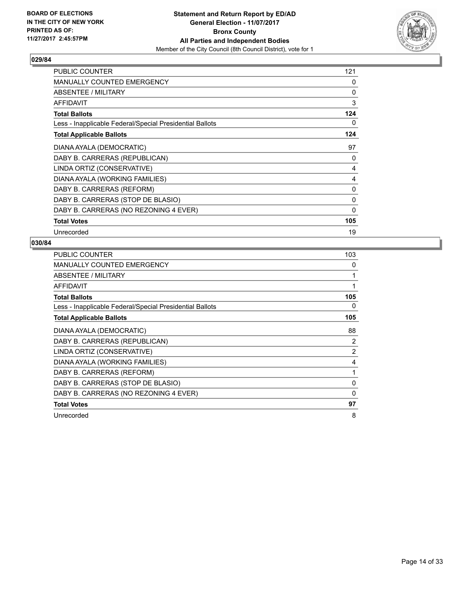

| <b>PUBLIC COUNTER</b>                                    | 121 |
|----------------------------------------------------------|-----|
| <b>MANUALLY COUNTED EMERGENCY</b>                        | 0   |
| ABSENTEE / MILITARY                                      | 0   |
| <b>AFFIDAVIT</b>                                         | 3   |
| <b>Total Ballots</b>                                     | 124 |
| Less - Inapplicable Federal/Special Presidential Ballots | 0   |
| <b>Total Applicable Ballots</b>                          | 124 |
| DIANA AYALA (DEMOCRATIC)                                 | 97  |
| DABY B. CARRERAS (REPUBLICAN)                            | 0   |
| LINDA ORTIZ (CONSERVATIVE)                               | 4   |
| DIANA AYALA (WORKING FAMILIES)                           | 4   |
| DABY B. CARRERAS (REFORM)                                | 0   |
| DABY B. CARRERAS (STOP DE BLASIO)                        | 0   |
| DABY B. CARRERAS (NO REZONING 4 EVER)                    | 0   |
| <b>Total Votes</b>                                       | 105 |
| Unrecorded                                               | 19  |

| <b>PUBLIC COUNTER</b>                                    | 103          |
|----------------------------------------------------------|--------------|
| MANUALLY COUNTED EMERGENCY                               | 0            |
| ABSENTEE / MILITARY                                      | 1            |
| AFFIDAVIT                                                | 1            |
| <b>Total Ballots</b>                                     | 105          |
| Less - Inapplicable Federal/Special Presidential Ballots | 0            |
| <b>Total Applicable Ballots</b>                          | 105          |
| DIANA AYALA (DEMOCRATIC)                                 | 88           |
| DABY B. CARRERAS (REPUBLICAN)                            | 2            |
| LINDA ORTIZ (CONSERVATIVE)                               | 2            |
| DIANA AYALA (WORKING FAMILIES)                           | 4            |
| DABY B. CARRERAS (REFORM)                                | $\mathbf{1}$ |
| DABY B. CARRERAS (STOP DE BLASIO)                        | 0            |
| DABY B. CARRERAS (NO REZONING 4 EVER)                    | 0            |
| <b>Total Votes</b>                                       | 97           |
| Unrecorded                                               | 8            |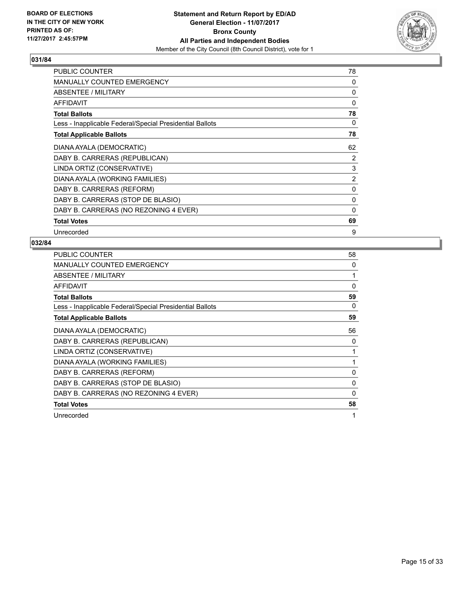

| <b>PUBLIC COUNTER</b>                                    | 78             |
|----------------------------------------------------------|----------------|
| <b>MANUALLY COUNTED EMERGENCY</b>                        | 0              |
| ABSENTEE / MILITARY                                      | 0              |
| <b>AFFIDAVIT</b>                                         | $\Omega$       |
| <b>Total Ballots</b>                                     | 78             |
| Less - Inapplicable Federal/Special Presidential Ballots | 0              |
| <b>Total Applicable Ballots</b>                          | 78             |
| DIANA AYALA (DEMOCRATIC)                                 | 62             |
| DABY B. CARRERAS (REPUBLICAN)                            | 2              |
| LINDA ORTIZ (CONSERVATIVE)                               | 3              |
| DIANA AYALA (WORKING FAMILIES)                           | $\overline{2}$ |
| DABY B. CARRERAS (REFORM)                                | 0              |
| DABY B. CARRERAS (STOP DE BLASIO)                        | 0              |
| DABY B. CARRERAS (NO REZONING 4 EVER)                    | 0              |
| <b>Total Votes</b>                                       | 69             |
| Unrecorded                                               | 9              |

| <b>PUBLIC COUNTER</b>                                    | 58 |
|----------------------------------------------------------|----|
| <b>MANUALLY COUNTED EMERGENCY</b>                        | 0  |
| ABSENTEE / MILITARY                                      | 1  |
| AFFIDAVIT                                                | 0  |
| <b>Total Ballots</b>                                     | 59 |
| Less - Inapplicable Federal/Special Presidential Ballots | 0  |
| <b>Total Applicable Ballots</b>                          | 59 |
| DIANA AYALA (DEMOCRATIC)                                 | 56 |
| DABY B. CARRERAS (REPUBLICAN)                            | 0  |
| LINDA ORTIZ (CONSERVATIVE)                               | 1  |
| DIANA AYALA (WORKING FAMILIES)                           |    |
| DABY B. CARRERAS (REFORM)                                | 0  |
| DABY B. CARRERAS (STOP DE BLASIO)                        | 0  |
| DABY B. CARRERAS (NO REZONING 4 EVER)                    | 0  |
| <b>Total Votes</b>                                       | 58 |
| Unrecorded                                               | 1  |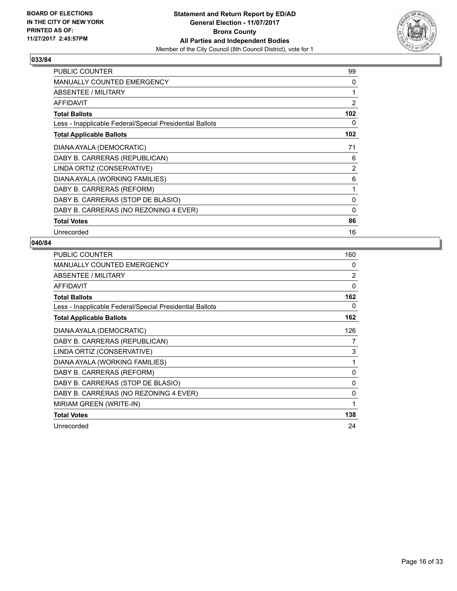

| PUBLIC COUNTER                                           | 99             |
|----------------------------------------------------------|----------------|
| <b>MANUALLY COUNTED EMERGENCY</b>                        | 0              |
| ABSENTEE / MILITARY                                      |                |
| AFFIDAVIT                                                | $\overline{2}$ |
| <b>Total Ballots</b>                                     | 102            |
| Less - Inapplicable Federal/Special Presidential Ballots | 0              |
| <b>Total Applicable Ballots</b>                          | 102            |
| DIANA AYALA (DEMOCRATIC)                                 | 71             |
| DABY B. CARRERAS (REPUBLICAN)                            | 6              |
| LINDA ORTIZ (CONSERVATIVE)                               | $\overline{2}$ |
| DIANA AYALA (WORKING FAMILIES)                           | 6              |
| DABY B. CARRERAS (REFORM)                                | 1              |
| DABY B. CARRERAS (STOP DE BLASIO)                        | 0              |
| DABY B. CARRERAS (NO REZONING 4 EVER)                    | 0              |
| <b>Total Votes</b>                                       | 86             |
| Unrecorded                                               | 16             |

| <b>PUBLIC COUNTER</b>                                    | 160            |
|----------------------------------------------------------|----------------|
| <b>MANUALLY COUNTED EMERGENCY</b>                        | 0              |
| ABSENTEE / MILITARY                                      | $\overline{2}$ |
| <b>AFFIDAVIT</b>                                         | 0              |
| <b>Total Ballots</b>                                     | 162            |
| Less - Inapplicable Federal/Special Presidential Ballots | 0              |
| <b>Total Applicable Ballots</b>                          | 162            |
| DIANA AYALA (DEMOCRATIC)                                 | 126            |
| DABY B. CARRERAS (REPUBLICAN)                            | 7              |
| LINDA ORTIZ (CONSERVATIVE)                               | 3              |
| DIANA AYALA (WORKING FAMILIES)                           | 1              |
| DABY B. CARRERAS (REFORM)                                | 0              |
| DABY B. CARRERAS (STOP DE BLASIO)                        | 0              |
| DABY B. CARRERAS (NO REZONING 4 EVER)                    | 0              |
| MIRIAM GREEN (WRITE-IN)                                  | 1              |
| <b>Total Votes</b>                                       | 138            |
| Unrecorded                                               | 24             |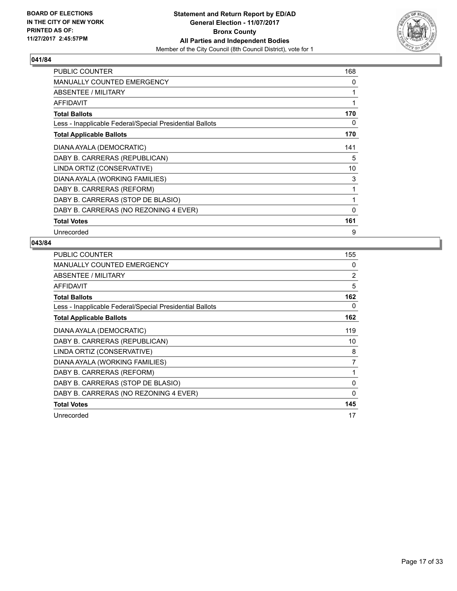

| <b>PUBLIC COUNTER</b>                                    | 168          |
|----------------------------------------------------------|--------------|
| <b>MANUALLY COUNTED EMERGENCY</b>                        | 0            |
| ABSENTEE / MILITARY                                      | 1            |
| <b>AFFIDAVIT</b>                                         | 1            |
| <b>Total Ballots</b>                                     | 170          |
| Less - Inapplicable Federal/Special Presidential Ballots | 0            |
| <b>Total Applicable Ballots</b>                          | 170          |
| DIANA AYALA (DEMOCRATIC)                                 | 141          |
| DABY B. CARRERAS (REPUBLICAN)                            | 5            |
| LINDA ORTIZ (CONSERVATIVE)                               | 10           |
| DIANA AYALA (WORKING FAMILIES)                           | 3            |
| DABY B. CARRERAS (REFORM)                                | 1            |
| DABY B. CARRERAS (STOP DE BLASIO)                        | 1            |
| DABY B. CARRERAS (NO REZONING 4 EVER)                    | $\mathbf{0}$ |
| <b>Total Votes</b>                                       | 161          |
| Unrecorded                                               | 9            |

| <b>PUBLIC COUNTER</b>                                    | 155            |
|----------------------------------------------------------|----------------|
| <b>MANUALLY COUNTED EMERGENCY</b>                        | 0              |
| ABSENTEE / MILITARY                                      | 2              |
| AFFIDAVIT                                                | 5              |
| <b>Total Ballots</b>                                     | 162            |
| Less - Inapplicable Federal/Special Presidential Ballots | 0              |
| <b>Total Applicable Ballots</b>                          | 162            |
| DIANA AYALA (DEMOCRATIC)                                 | 119            |
| DABY B. CARRERAS (REPUBLICAN)                            | 10             |
| LINDA ORTIZ (CONSERVATIVE)                               | 8              |
| DIANA AYALA (WORKING FAMILIES)                           | $\overline{7}$ |
| DABY B. CARRERAS (REFORM)                                |                |
| DABY B. CARRERAS (STOP DE BLASIO)                        | 0              |
| DABY B. CARRERAS (NO REZONING 4 EVER)                    | 0              |
| <b>Total Votes</b>                                       | 145            |
| Unrecorded                                               | 17             |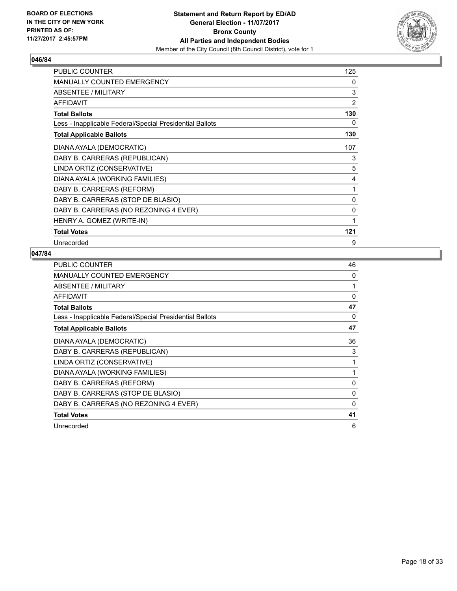

| <b>PUBLIC COUNTER</b>                                    | 125            |
|----------------------------------------------------------|----------------|
| <b>MANUALLY COUNTED EMERGENCY</b>                        | 0              |
| <b>ABSENTEE / MILITARY</b>                               | 3              |
| AFFIDAVIT                                                | $\overline{2}$ |
| <b>Total Ballots</b>                                     | 130            |
| Less - Inapplicable Federal/Special Presidential Ballots | 0              |
| <b>Total Applicable Ballots</b>                          | 130            |
| DIANA AYALA (DEMOCRATIC)                                 | 107            |
| DABY B. CARRERAS (REPUBLICAN)                            | 3              |
| LINDA ORTIZ (CONSERVATIVE)                               | 5              |
| DIANA AYALA (WORKING FAMILIES)                           | 4              |
| DABY B. CARRERAS (REFORM)                                | 1              |
| DABY B. CARRERAS (STOP DE BLASIO)                        | 0              |
| DABY B. CARRERAS (NO REZONING 4 EVER)                    | 0              |
| HENRY A. GOMEZ (WRITE-IN)                                | 1              |
| <b>Total Votes</b>                                       | 121            |
| Unrecorded                                               | 9              |

| <b>PUBLIC COUNTER</b>                                    | 46       |
|----------------------------------------------------------|----------|
| <b>MANUALLY COUNTED EMERGENCY</b>                        | 0        |
| ABSENTEE / MILITARY                                      | 1        |
| <b>AFFIDAVIT</b>                                         | $\Omega$ |
| <b>Total Ballots</b>                                     | 47       |
| Less - Inapplicable Federal/Special Presidential Ballots | 0        |
| <b>Total Applicable Ballots</b>                          | 47       |
| DIANA AYALA (DEMOCRATIC)                                 | 36       |
| DABY B. CARRERAS (REPUBLICAN)                            | 3        |
| LINDA ORTIZ (CONSERVATIVE)                               | 1        |
| DIANA AYALA (WORKING FAMILIES)                           | 1        |
| DABY B. CARRERAS (REFORM)                                | 0        |
| DABY B. CARRERAS (STOP DE BLASIO)                        | $\Omega$ |
| DABY B. CARRERAS (NO REZONING 4 EVER)                    | 0        |
| <b>Total Votes</b>                                       | 41       |
| Unrecorded                                               | 6        |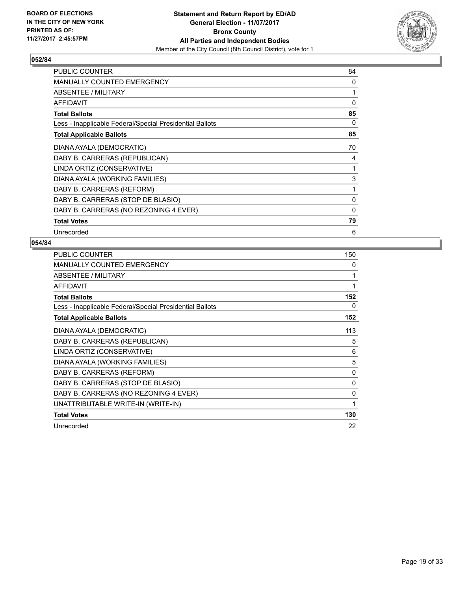

| <b>PUBLIC COUNTER</b>                                    | 84 |
|----------------------------------------------------------|----|
| MANUALLY COUNTED EMERGENCY                               | 0  |
| ABSENTEE / MILITARY                                      | 1  |
| AFFIDAVIT                                                | 0  |
| <b>Total Ballots</b>                                     | 85 |
| Less - Inapplicable Federal/Special Presidential Ballots | 0  |
| <b>Total Applicable Ballots</b>                          | 85 |
| DIANA AYALA (DEMOCRATIC)                                 | 70 |
| DABY B. CARRERAS (REPUBLICAN)                            | 4  |
| LINDA ORTIZ (CONSERVATIVE)                               | 1  |
| DIANA AYALA (WORKING FAMILIES)                           | 3  |
| DABY B. CARRERAS (REFORM)                                | 1  |
| DABY B. CARRERAS (STOP DE BLASIO)                        | 0  |
| DABY B. CARRERAS (NO REZONING 4 EVER)                    | 0  |
| <b>Total Votes</b>                                       | 79 |
| Unrecorded                                               | 6  |

| PUBLIC COUNTER                                           | 150 |
|----------------------------------------------------------|-----|
| <b>MANUALLY COUNTED EMERGENCY</b>                        | 0   |
| ABSENTEE / MILITARY                                      | 1   |
| <b>AFFIDAVIT</b>                                         | 1   |
| <b>Total Ballots</b>                                     | 152 |
| Less - Inapplicable Federal/Special Presidential Ballots | 0   |
| <b>Total Applicable Ballots</b>                          | 152 |
| DIANA AYALA (DEMOCRATIC)                                 | 113 |
| DABY B. CARRERAS (REPUBLICAN)                            | 5   |
| LINDA ORTIZ (CONSERVATIVE)                               | 6   |
| DIANA AYALA (WORKING FAMILIES)                           | 5   |
| DABY B. CARRERAS (REFORM)                                | 0   |
| DABY B. CARRERAS (STOP DE BLASIO)                        | 0   |
| DABY B. CARRERAS (NO REZONING 4 EVER)                    | 0   |
| UNATTRIBUTABLE WRITE-IN (WRITE-IN)                       | 1   |
| <b>Total Votes</b>                                       | 130 |
| Unrecorded                                               | 22  |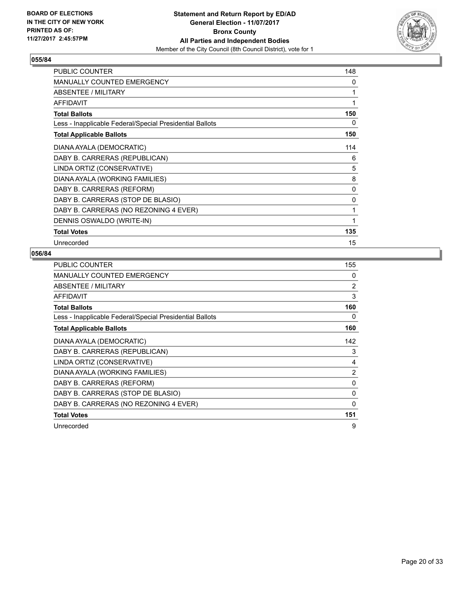

| PUBLIC COUNTER                                           | 148 |
|----------------------------------------------------------|-----|
| <b>MANUALLY COUNTED EMERGENCY</b>                        | 0   |
| <b>ABSENTEE / MILITARY</b>                               | 1   |
| <b>AFFIDAVIT</b>                                         | 1   |
| <b>Total Ballots</b>                                     | 150 |
| Less - Inapplicable Federal/Special Presidential Ballots | 0   |
| <b>Total Applicable Ballots</b>                          | 150 |
| DIANA AYALA (DEMOCRATIC)                                 | 114 |
| DABY B. CARRERAS (REPUBLICAN)                            | 6   |
| LINDA ORTIZ (CONSERVATIVE)                               | 5   |
| DIANA AYALA (WORKING FAMILIES)                           | 8   |
| DABY B. CARRERAS (REFORM)                                | 0   |
| DABY B. CARRERAS (STOP DE BLASIO)                        | 0   |
| DABY B. CARRERAS (NO REZONING 4 EVER)                    | 1   |
| DENNIS OSWALDO (WRITE-IN)                                | 1   |
| <b>Total Votes</b>                                       | 135 |
| Unrecorded                                               | 15  |

| PUBLIC COUNTER                                           | 155      |
|----------------------------------------------------------|----------|
| <b>MANUALLY COUNTED EMERGENCY</b>                        | 0        |
| ABSENTEE / MILITARY                                      | 2        |
| <b>AFFIDAVIT</b>                                         | 3        |
| <b>Total Ballots</b>                                     | 160      |
| Less - Inapplicable Federal/Special Presidential Ballots | 0        |
| <b>Total Applicable Ballots</b>                          | 160      |
| DIANA AYALA (DEMOCRATIC)                                 | 142      |
| DABY B. CARRERAS (REPUBLICAN)                            | 3        |
| LINDA ORTIZ (CONSERVATIVE)                               | 4        |
| DIANA AYALA (WORKING FAMILIES)                           | 2        |
| DABY B. CARRERAS (REFORM)                                | 0        |
| DABY B. CARRERAS (STOP DE BLASIO)                        | $\Omega$ |
| DABY B. CARRERAS (NO REZONING 4 EVER)                    | 0        |
| <b>Total Votes</b>                                       | 151      |
| Unrecorded                                               | 9        |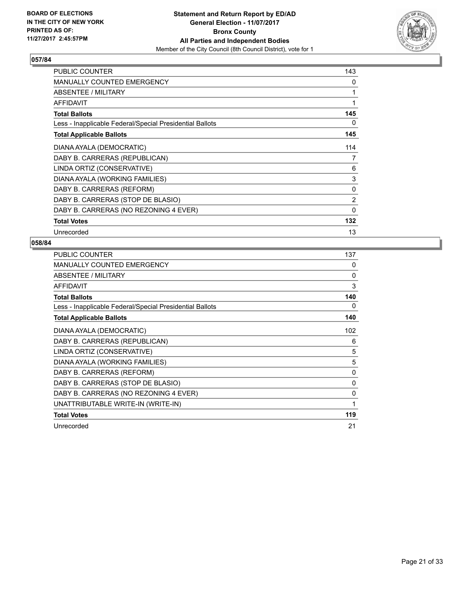

| PUBLIC COUNTER                                           | 143            |
|----------------------------------------------------------|----------------|
| <b>MANUALLY COUNTED EMERGENCY</b>                        | 0              |
| ABSENTEE / MILITARY                                      | 1              |
| AFFIDAVIT                                                | 1              |
| <b>Total Ballots</b>                                     | 145            |
| Less - Inapplicable Federal/Special Presidential Ballots | 0              |
| <b>Total Applicable Ballots</b>                          | 145            |
| DIANA AYALA (DEMOCRATIC)                                 | 114            |
| DABY B. CARRERAS (REPUBLICAN)                            | 7              |
| LINDA ORTIZ (CONSERVATIVE)                               | 6              |
| DIANA AYALA (WORKING FAMILIES)                           | 3              |
| DABY B. CARRERAS (REFORM)                                | 0              |
| DABY B. CARRERAS (STOP DE BLASIO)                        | $\overline{2}$ |
| DABY B. CARRERAS (NO REZONING 4 EVER)                    | $\mathbf{0}$   |
| <b>Total Votes</b>                                       | 132            |
| Unrecorded                                               | 13             |

| PUBLIC COUNTER                                           | 137 |
|----------------------------------------------------------|-----|
| <b>MANUALLY COUNTED EMERGENCY</b>                        | 0   |
| <b>ABSENTEE / MILITARY</b>                               | 0   |
| <b>AFFIDAVIT</b>                                         | 3   |
| <b>Total Ballots</b>                                     | 140 |
| Less - Inapplicable Federal/Special Presidential Ballots | 0   |
| <b>Total Applicable Ballots</b>                          | 140 |
| DIANA AYALA (DEMOCRATIC)                                 | 102 |
| DABY B. CARRERAS (REPUBLICAN)                            | 6   |
| LINDA ORTIZ (CONSERVATIVE)                               | 5   |
| DIANA AYALA (WORKING FAMILIES)                           | 5   |
| DABY B. CARRERAS (REFORM)                                | 0   |
| DABY B. CARRERAS (STOP DE BLASIO)                        | 0   |
| DABY B. CARRERAS (NO REZONING 4 EVER)                    | 0   |
| UNATTRIBUTABLE WRITE-IN (WRITE-IN)                       | 1   |
| <b>Total Votes</b>                                       | 119 |
| Unrecorded                                               | 21  |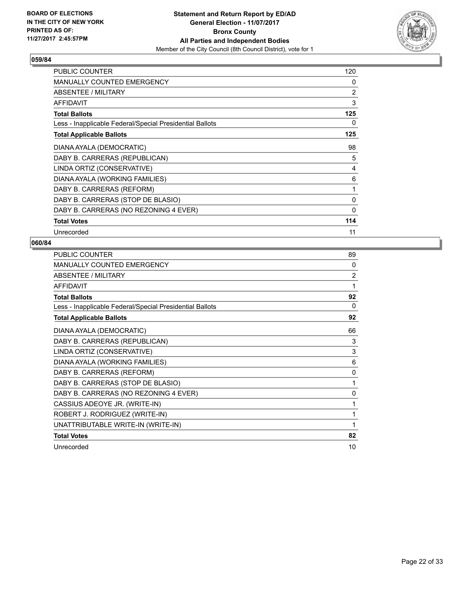

| <b>PUBLIC COUNTER</b>                                    | 120            |
|----------------------------------------------------------|----------------|
| <b>MANUALLY COUNTED EMERGENCY</b>                        | 0              |
| ABSENTEE / MILITARY                                      | $\overline{2}$ |
| <b>AFFIDAVIT</b>                                         | 3              |
| <b>Total Ballots</b>                                     | 125            |
| Less - Inapplicable Federal/Special Presidential Ballots | 0              |
| <b>Total Applicable Ballots</b>                          | 125            |
| DIANA AYALA (DEMOCRATIC)                                 | 98             |
| DABY B. CARRERAS (REPUBLICAN)                            | 5              |
| LINDA ORTIZ (CONSERVATIVE)                               | 4              |
| DIANA AYALA (WORKING FAMILIES)                           | 6              |
| DABY B. CARRERAS (REFORM)                                | 1              |
| DABY B. CARRERAS (STOP DE BLASIO)                        | 0              |
| DABY B. CARRERAS (NO REZONING 4 EVER)                    | 0              |
| <b>Total Votes</b>                                       | 114            |
| Unrecorded                                               | 11             |

| <b>PUBLIC COUNTER</b>                                    | 89           |
|----------------------------------------------------------|--------------|
| <b>MANUALLY COUNTED EMERGENCY</b>                        | 0            |
| ABSENTEE / MILITARY                                      | 2            |
| <b>AFFIDAVIT</b>                                         | 1            |
| <b>Total Ballots</b>                                     | 92           |
| Less - Inapplicable Federal/Special Presidential Ballots | $\Omega$     |
| <b>Total Applicable Ballots</b>                          | 92           |
| DIANA AYALA (DEMOCRATIC)                                 | 66           |
| DABY B. CARRERAS (REPUBLICAN)                            | 3            |
| LINDA ORTIZ (CONSERVATIVE)                               | 3            |
| DIANA AYALA (WORKING FAMILIES)                           | 6            |
| DABY B. CARRERAS (REFORM)                                | $\mathbf{0}$ |
| DABY B. CARRERAS (STOP DE BLASIO)                        |              |
| DABY B. CARRERAS (NO REZONING 4 EVER)                    | 0            |
| CASSIUS ADEOYE JR. (WRITE-IN)                            | 1            |
| ROBERT J. RODRIGUEZ (WRITE-IN)                           | 1            |
| UNATTRIBUTABLE WRITE-IN (WRITE-IN)                       | 1            |
| <b>Total Votes</b>                                       | 82           |
| Unrecorded                                               | 10           |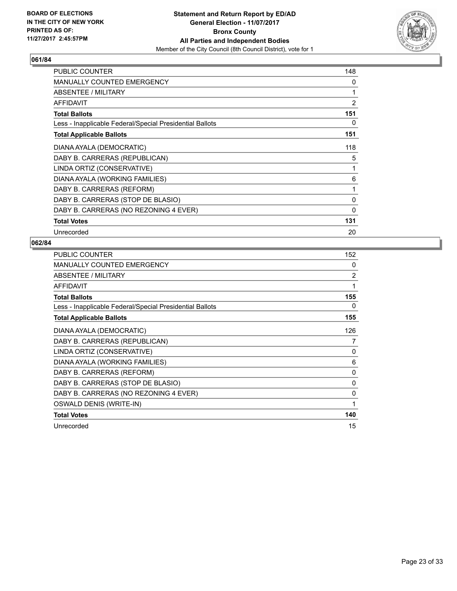

| PUBLIC COUNTER                                           | 148            |
|----------------------------------------------------------|----------------|
| MANUALLY COUNTED EMERGENCY                               | 0              |
| ABSENTEE / MILITARY                                      | 1              |
| <b>AFFIDAVIT</b>                                         | $\overline{2}$ |
| <b>Total Ballots</b>                                     | 151            |
| Less - Inapplicable Federal/Special Presidential Ballots | 0              |
| <b>Total Applicable Ballots</b>                          | 151            |
| DIANA AYALA (DEMOCRATIC)                                 | 118            |
| DABY B. CARRERAS (REPUBLICAN)                            | 5              |
| LINDA ORTIZ (CONSERVATIVE)                               | 1              |
| DIANA AYALA (WORKING FAMILIES)                           | 6              |
| DABY B. CARRERAS (REFORM)                                | 1              |
| DABY B. CARRERAS (STOP DE BLASIO)                        | 0              |
| DABY B. CARRERAS (NO REZONING 4 EVER)                    | 0              |
| <b>Total Votes</b>                                       | 131            |
| Unrecorded                                               | 20             |

| <b>PUBLIC COUNTER</b>                                    | 152 |
|----------------------------------------------------------|-----|
| <b>MANUALLY COUNTED EMERGENCY</b>                        | 0   |
| ABSENTEE / MILITARY                                      | 2   |
| <b>AFFIDAVIT</b>                                         | 1   |
| <b>Total Ballots</b>                                     | 155 |
| Less - Inapplicable Federal/Special Presidential Ballots | 0   |
| <b>Total Applicable Ballots</b>                          | 155 |
| DIANA AYALA (DEMOCRATIC)                                 | 126 |
| DABY B. CARRERAS (REPUBLICAN)                            | 7   |
| LINDA ORTIZ (CONSERVATIVE)                               | 0   |
| DIANA AYALA (WORKING FAMILIES)                           | 6   |
| DABY B. CARRERAS (REFORM)                                | 0   |
| DABY B. CARRERAS (STOP DE BLASIO)                        | 0   |
| DABY B. CARRERAS (NO REZONING 4 EVER)                    | 0   |
| OSWALD DENIS (WRITE-IN)                                  | 1   |
| <b>Total Votes</b>                                       | 140 |
| Unrecorded                                               | 15  |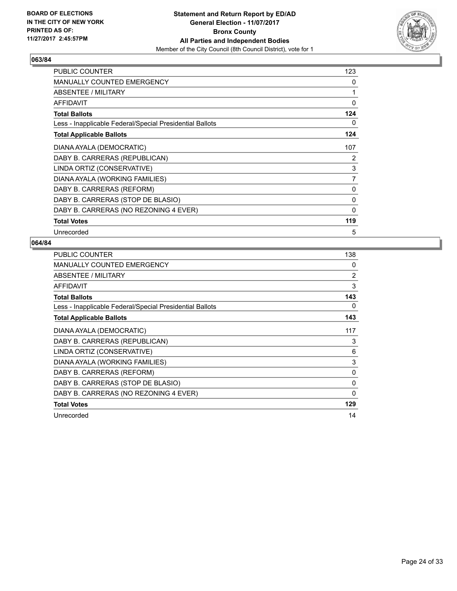

| <b>PUBLIC COUNTER</b>                                    | 123            |
|----------------------------------------------------------|----------------|
| <b>MANUALLY COUNTED EMERGENCY</b>                        | 0              |
| ABSENTEE / MILITARY                                      | 1              |
| <b>AFFIDAVIT</b>                                         | 0              |
| <b>Total Ballots</b>                                     | 124            |
| Less - Inapplicable Federal/Special Presidential Ballots | 0              |
| <b>Total Applicable Ballots</b>                          | 124            |
| DIANA AYALA (DEMOCRATIC)                                 | 107            |
| DABY B. CARRERAS (REPUBLICAN)                            | 2              |
| LINDA ORTIZ (CONSERVATIVE)                               | 3              |
| DIANA AYALA (WORKING FAMILIES)                           | $\overline{7}$ |
| DABY B. CARRERAS (REFORM)                                | 0              |
| DABY B. CARRERAS (STOP DE BLASIO)                        | 0              |
| DABY B. CARRERAS (NO REZONING 4 EVER)                    | 0              |
| <b>Total Votes</b>                                       | 119            |
| Unrecorded                                               | 5              |

| <b>PUBLIC COUNTER</b>                                    | 138         |
|----------------------------------------------------------|-------------|
| MANUALLY COUNTED EMERGENCY                               | 0           |
| ABSENTEE / MILITARY                                      | 2           |
| <b>AFFIDAVIT</b>                                         | 3           |
| <b>Total Ballots</b>                                     | 143         |
| Less - Inapplicable Federal/Special Presidential Ballots | 0           |
| <b>Total Applicable Ballots</b>                          | 143         |
| DIANA AYALA (DEMOCRATIC)                                 | 117         |
| DABY B. CARRERAS (REPUBLICAN)                            | 3           |
| LINDA ORTIZ (CONSERVATIVE)                               | 6           |
| DIANA AYALA (WORKING FAMILIES)                           | 3           |
| DABY B. CARRERAS (REFORM)                                | 0           |
| DABY B. CARRERAS (STOP DE BLASIO)                        | 0           |
| DABY B. CARRERAS (NO REZONING 4 EVER)                    | $\mathbf 0$ |
| <b>Total Votes</b>                                       | 129         |
| Unrecorded                                               | 14          |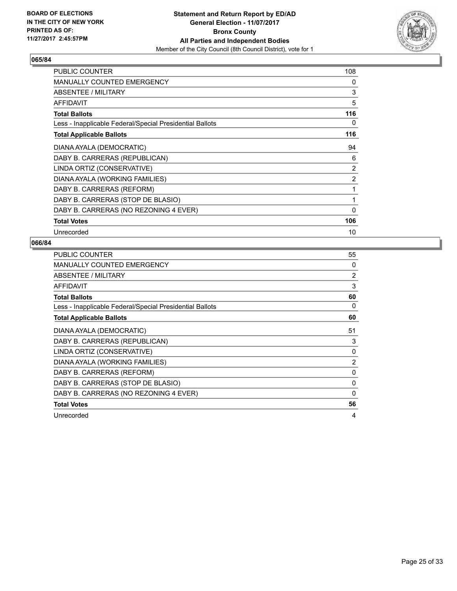

| <b>PUBLIC COUNTER</b>                                    | 108            |
|----------------------------------------------------------|----------------|
| <b>MANUALLY COUNTED EMERGENCY</b>                        | 0              |
| ABSENTEE / MILITARY                                      | 3              |
| <b>AFFIDAVIT</b>                                         | 5              |
| <b>Total Ballots</b>                                     | 116            |
| Less - Inapplicable Federal/Special Presidential Ballots | 0              |
| <b>Total Applicable Ballots</b>                          | 116            |
| DIANA AYALA (DEMOCRATIC)                                 | 94             |
| DABY B. CARRERAS (REPUBLICAN)                            | 6              |
| LINDA ORTIZ (CONSERVATIVE)                               | 2              |
| DIANA AYALA (WORKING FAMILIES)                           | $\overline{2}$ |
| DABY B. CARRERAS (REFORM)                                | 1              |
| DABY B. CARRERAS (STOP DE BLASIO)                        | $\mathbf{1}$   |
| DABY B. CARRERAS (NO REZONING 4 EVER)                    | $\mathbf{0}$   |
| <b>Total Votes</b>                                       | 106            |
| Unrecorded                                               | 10             |

| PUBLIC COUNTER                                           | 55             |
|----------------------------------------------------------|----------------|
| <b>MANUALLY COUNTED EMERGENCY</b>                        | 0              |
| ABSENTEE / MILITARY                                      | $\overline{2}$ |
| <b>AFFIDAVIT</b>                                         | 3              |
| <b>Total Ballots</b>                                     | 60             |
| Less - Inapplicable Federal/Special Presidential Ballots | 0              |
| <b>Total Applicable Ballots</b>                          | 60             |
| DIANA AYALA (DEMOCRATIC)                                 | 51             |
| DABY B. CARRERAS (REPUBLICAN)                            | 3              |
| LINDA ORTIZ (CONSERVATIVE)                               | $\Omega$       |
| DIANA AYALA (WORKING FAMILIES)                           | $\overline{2}$ |
| DABY B. CARRERAS (REFORM)                                | 0              |
| DABY B. CARRERAS (STOP DE BLASIO)                        | 0              |
| DABY B. CARRERAS (NO REZONING 4 EVER)                    | 0              |
| <b>Total Votes</b>                                       | 56             |
| Unrecorded                                               | 4              |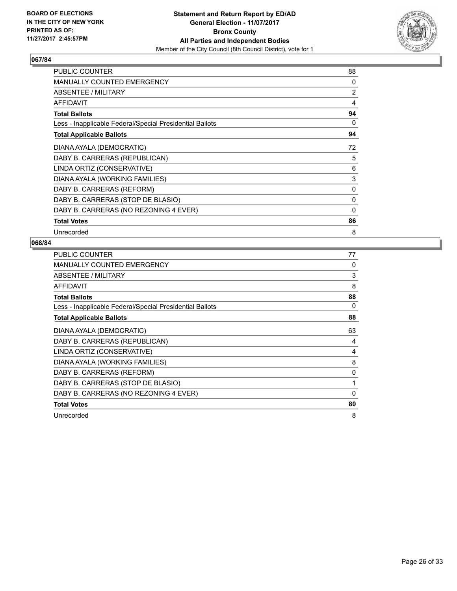

| <b>PUBLIC COUNTER</b>                                    | 88             |
|----------------------------------------------------------|----------------|
| <b>MANUALLY COUNTED EMERGENCY</b>                        | 0              |
| ABSENTEE / MILITARY                                      | $\overline{2}$ |
| <b>AFFIDAVIT</b>                                         | 4              |
| <b>Total Ballots</b>                                     | 94             |
| Less - Inapplicable Federal/Special Presidential Ballots | 0              |
| <b>Total Applicable Ballots</b>                          | 94             |
| DIANA AYALA (DEMOCRATIC)                                 | 72             |
| DABY B. CARRERAS (REPUBLICAN)                            | 5              |
| LINDA ORTIZ (CONSERVATIVE)                               | 6              |
| DIANA AYALA (WORKING FAMILIES)                           | 3              |
| DABY B. CARRERAS (REFORM)                                | 0              |
| DABY B. CARRERAS (STOP DE BLASIO)                        | 0              |
| DABY B. CARRERAS (NO REZONING 4 EVER)                    | 0              |
| <b>Total Votes</b>                                       | 86             |
| Unrecorded                                               | 8              |

| PUBLIC COUNTER                                           | 77 |
|----------------------------------------------------------|----|
| <b>MANUALLY COUNTED EMERGENCY</b>                        | 0  |
| ABSENTEE / MILITARY                                      | 3  |
| AFFIDAVIT                                                | 8  |
| <b>Total Ballots</b>                                     | 88 |
| Less - Inapplicable Federal/Special Presidential Ballots | 0  |
| <b>Total Applicable Ballots</b>                          | 88 |
| DIANA AYALA (DEMOCRATIC)                                 | 63 |
| DABY B. CARRERAS (REPUBLICAN)                            | 4  |
| LINDA ORTIZ (CONSERVATIVE)                               | 4  |
| DIANA AYALA (WORKING FAMILIES)                           | 8  |
| DABY B. CARRERAS (REFORM)                                | 0  |
| DABY B. CARRERAS (STOP DE BLASIO)                        | 1  |
| DABY B. CARRERAS (NO REZONING 4 EVER)                    | 0  |
| <b>Total Votes</b>                                       | 80 |
| Unrecorded                                               | 8  |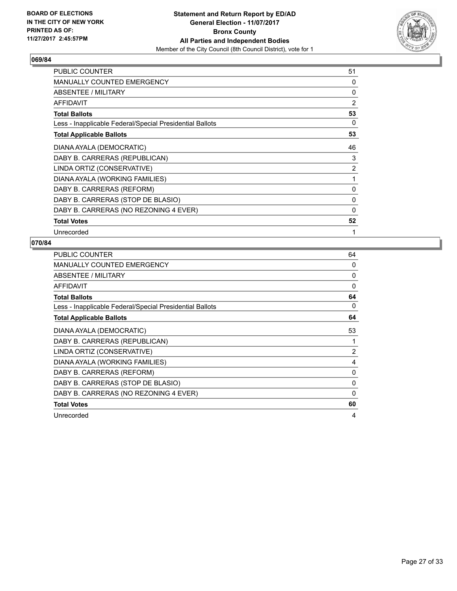

| <b>PUBLIC COUNTER</b>                                    | 51             |
|----------------------------------------------------------|----------------|
| <b>MANUALLY COUNTED EMERGENCY</b>                        | 0              |
| ABSENTEE / MILITARY                                      | 0              |
| AFFIDAVIT                                                | 2              |
| <b>Total Ballots</b>                                     | 53             |
| Less - Inapplicable Federal/Special Presidential Ballots | 0              |
| <b>Total Applicable Ballots</b>                          | 53             |
| DIANA AYALA (DEMOCRATIC)                                 | 46             |
| DABY B. CARRERAS (REPUBLICAN)                            | 3              |
| LINDA ORTIZ (CONSERVATIVE)                               | $\overline{2}$ |
| DIANA AYALA (WORKING FAMILIES)                           | 1              |
| DABY B. CARRERAS (REFORM)                                | $\mathbf{0}$   |
| DABY B. CARRERAS (STOP DE BLASIO)                        | 0              |
| DABY B. CARRERAS (NO REZONING 4 EVER)                    | 0              |
| <b>Total Votes</b>                                       | 52             |
| Unrecorded                                               | 1              |

| <b>PUBLIC COUNTER</b>                                    | 64       |
|----------------------------------------------------------|----------|
| MANUALLY COUNTED EMERGENCY                               | 0        |
| ABSENTEE / MILITARY                                      | 0        |
| <b>AFFIDAVIT</b>                                         | $\Omega$ |
| <b>Total Ballots</b>                                     | 64       |
| Less - Inapplicable Federal/Special Presidential Ballots | 0        |
| <b>Total Applicable Ballots</b>                          | 64       |
| DIANA AYALA (DEMOCRATIC)                                 | 53       |
| DABY B. CARRERAS (REPUBLICAN)                            |          |
| LINDA ORTIZ (CONSERVATIVE)                               | 2        |
| DIANA AYALA (WORKING FAMILIES)                           | 4        |
| DABY B. CARRERAS (REFORM)                                | 0        |
| DABY B. CARRERAS (STOP DE BLASIO)                        | 0        |
| DABY B. CARRERAS (NO REZONING 4 EVER)                    | 0        |
| <b>Total Votes</b>                                       | 60       |
| Unrecorded                                               | 4        |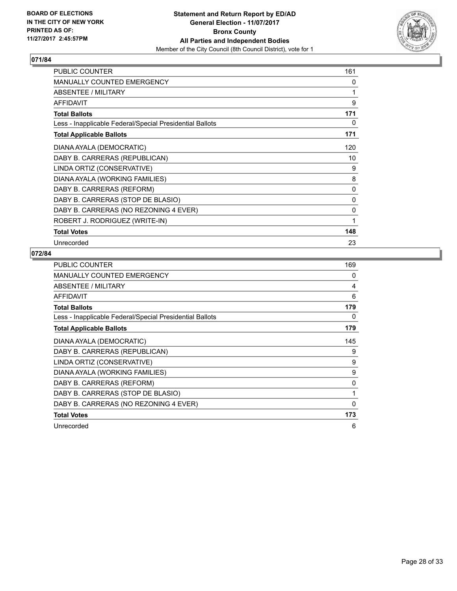

| <b>PUBLIC COUNTER</b>                                    | 161 |
|----------------------------------------------------------|-----|
| MANUALLY COUNTED EMERGENCY                               | 0   |
| ABSENTEE / MILITARY                                      | 1   |
| <b>AFFIDAVIT</b>                                         | 9   |
| <b>Total Ballots</b>                                     | 171 |
| Less - Inapplicable Federal/Special Presidential Ballots | 0   |
| <b>Total Applicable Ballots</b>                          | 171 |
| DIANA AYALA (DEMOCRATIC)                                 | 120 |
| DABY B. CARRERAS (REPUBLICAN)                            | 10  |
| LINDA ORTIZ (CONSERVATIVE)                               | 9   |
| DIANA AYALA (WORKING FAMILIES)                           | 8   |
| DABY B. CARRERAS (REFORM)                                | 0   |
| DABY B. CARRERAS (STOP DE BLASIO)                        | 0   |
| DABY B. CARRERAS (NO REZONING 4 EVER)                    | 0   |
| ROBERT J. RODRIGUEZ (WRITE-IN)                           | 1   |
| <b>Total Votes</b>                                       | 148 |
| Unrecorded                                               | 23  |

| PUBLIC COUNTER                                           | 169 |
|----------------------------------------------------------|-----|
| MANUALLY COUNTED EMERGENCY                               | 0   |
| ABSENTEE / MILITARY                                      | 4   |
| AFFIDAVIT                                                | 6   |
| <b>Total Ballots</b>                                     | 179 |
| Less - Inapplicable Federal/Special Presidential Ballots | 0   |
| <b>Total Applicable Ballots</b>                          | 179 |
| DIANA AYALA (DEMOCRATIC)                                 | 145 |
| DABY B. CARRERAS (REPUBLICAN)                            | 9   |
| LINDA ORTIZ (CONSERVATIVE)                               | 9   |
| DIANA AYALA (WORKING FAMILIES)                           | 9   |
| DABY B. CARRERAS (REFORM)                                | 0   |
| DABY B. CARRERAS (STOP DE BLASIO)                        | 1   |
| DABY B. CARRERAS (NO REZONING 4 EVER)                    | 0   |
| <b>Total Votes</b>                                       | 173 |
| Unrecorded                                               | 6   |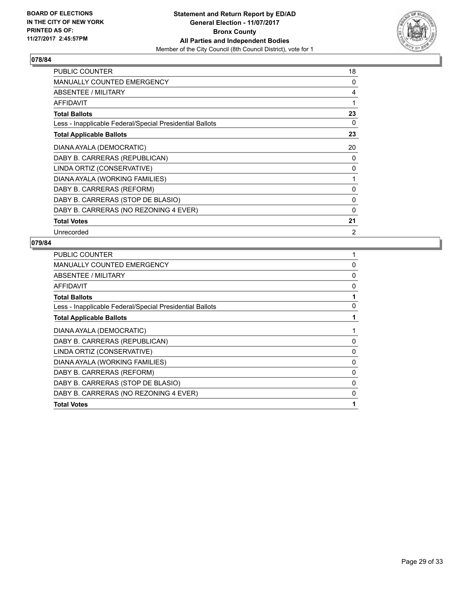

| <b>PUBLIC COUNTER</b>                                    | 18             |
|----------------------------------------------------------|----------------|
| <b>MANUALLY COUNTED EMERGENCY</b>                        | 0              |
| ABSENTEE / MILITARY                                      | 4              |
| <b>AFFIDAVIT</b>                                         | 1              |
| <b>Total Ballots</b>                                     | 23             |
| Less - Inapplicable Federal/Special Presidential Ballots | 0              |
| <b>Total Applicable Ballots</b>                          | 23             |
| DIANA AYALA (DEMOCRATIC)                                 | 20             |
| DABY B. CARRERAS (REPUBLICAN)                            | 0              |
| LINDA ORTIZ (CONSERVATIVE)                               | 0              |
| DIANA AYALA (WORKING FAMILIES)                           | 1              |
| DABY B. CARRERAS (REFORM)                                | $\Omega$       |
| DABY B. CARRERAS (STOP DE BLASIO)                        | 0              |
| DABY B. CARRERAS (NO REZONING 4 EVER)                    | 0              |
| <b>Total Votes</b>                                       | 21             |
| Unrecorded                                               | $\overline{2}$ |

| PUBLIC COUNTER                                           |          |
|----------------------------------------------------------|----------|
| <b>MANUALLY COUNTED EMERGENCY</b>                        | 0        |
| ABSENTEE / MILITARY                                      | 0        |
| AFFIDAVIT                                                | 0        |
| <b>Total Ballots</b>                                     |          |
| Less - Inapplicable Federal/Special Presidential Ballots | 0        |
| <b>Total Applicable Ballots</b>                          |          |
| DIANA AYALA (DEMOCRATIC)                                 |          |
| DABY B. CARRERAS (REPUBLICAN)                            | 0        |
| LINDA ORTIZ (CONSERVATIVE)                               | 0        |
| DIANA AYALA (WORKING FAMILIES)                           | $\Omega$ |
| DABY B. CARRERAS (REFORM)                                | 0        |
| DABY B. CARRERAS (STOP DE BLASIO)                        | 0        |
| DABY B. CARRERAS (NO REZONING 4 EVER)                    | 0        |
| <b>Total Votes</b>                                       |          |
|                                                          |          |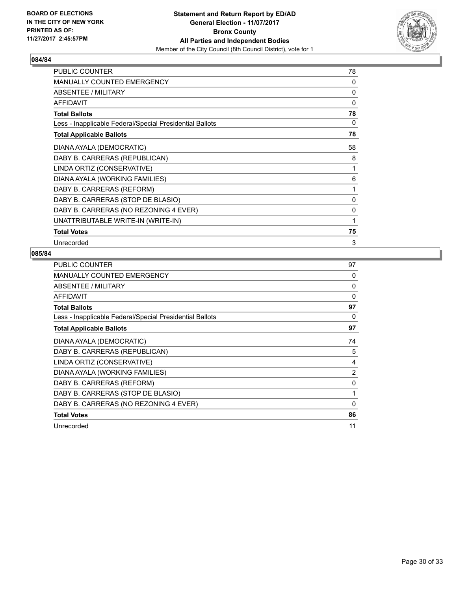

| <b>PUBLIC COUNTER</b>                                    | 78 |
|----------------------------------------------------------|----|
| MANUALLY COUNTED EMERGENCY                               | 0  |
| ABSENTEE / MILITARY                                      | 0  |
| <b>AFFIDAVIT</b>                                         | 0  |
| <b>Total Ballots</b>                                     | 78 |
| Less - Inapplicable Federal/Special Presidential Ballots | 0  |
| <b>Total Applicable Ballots</b>                          | 78 |
| DIANA AYALA (DEMOCRATIC)                                 | 58 |
| DABY B. CARRERAS (REPUBLICAN)                            | 8  |
| LINDA ORTIZ (CONSERVATIVE)                               | 1  |
| DIANA AYALA (WORKING FAMILIES)                           | 6  |
| DABY B. CARRERAS (REFORM)                                | 1  |
| DABY B. CARRERAS (STOP DE BLASIO)                        | 0  |
| DABY B. CARRERAS (NO REZONING 4 EVER)                    | 0  |
| UNATTRIBUTABLE WRITE-IN (WRITE-IN)                       | 1  |
| <b>Total Votes</b>                                       | 75 |
| Unrecorded                                               | 3  |

| PUBLIC COUNTER                                           | 97 |
|----------------------------------------------------------|----|
| <b>MANUALLY COUNTED EMERGENCY</b>                        | 0  |
| ABSENTEE / MILITARY                                      | 0  |
| AFFIDAVIT                                                | 0  |
| <b>Total Ballots</b>                                     | 97 |
| Less - Inapplicable Federal/Special Presidential Ballots | 0  |
| <b>Total Applicable Ballots</b>                          | 97 |
| DIANA AYALA (DEMOCRATIC)                                 | 74 |
| DABY B. CARRERAS (REPUBLICAN)                            | 5  |
| LINDA ORTIZ (CONSERVATIVE)                               | 4  |
| DIANA AYALA (WORKING FAMILIES)                           | 2  |
| DABY B. CARRERAS (REFORM)                                | 0  |
| DABY B. CARRERAS (STOP DE BLASIO)                        | 1  |
| DABY B. CARRERAS (NO REZONING 4 EVER)                    | 0  |
| <b>Total Votes</b>                                       | 86 |
| Unrecorded                                               | 11 |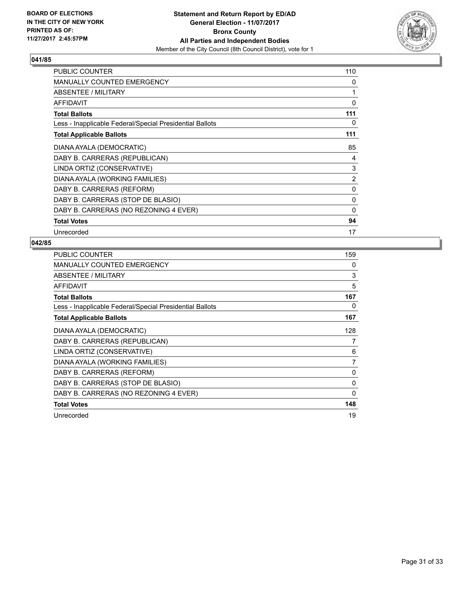

| <b>PUBLIC COUNTER</b>                                    | 110            |
|----------------------------------------------------------|----------------|
| <b>MANUALLY COUNTED EMERGENCY</b>                        | 0              |
| ABSENTEE / MILITARY                                      | 1              |
| <b>AFFIDAVIT</b>                                         | 0              |
| <b>Total Ballots</b>                                     | 111            |
| Less - Inapplicable Federal/Special Presidential Ballots | 0              |
| <b>Total Applicable Ballots</b>                          | 111            |
| DIANA AYALA (DEMOCRATIC)                                 | 85             |
| DABY B. CARRERAS (REPUBLICAN)                            | 4              |
| LINDA ORTIZ (CONSERVATIVE)                               | 3              |
| DIANA AYALA (WORKING FAMILIES)                           | $\overline{2}$ |
| DABY B. CARRERAS (REFORM)                                | 0              |
| DABY B. CARRERAS (STOP DE BLASIO)                        | 0              |
| DABY B. CARRERAS (NO REZONING 4 EVER)                    | $\mathbf{0}$   |
| <b>Total Votes</b>                                       | 94             |
| Unrecorded                                               | 17             |

| <b>PUBLIC COUNTER</b>                                    | 159            |
|----------------------------------------------------------|----------------|
| <b>MANUALLY COUNTED EMERGENCY</b>                        | 0              |
| ABSENTEE / MILITARY                                      | 3              |
| AFFIDAVIT                                                | 5              |
| <b>Total Ballots</b>                                     | 167            |
| Less - Inapplicable Federal/Special Presidential Ballots | 0              |
| <b>Total Applicable Ballots</b>                          | 167            |
| DIANA AYALA (DEMOCRATIC)                                 | 128            |
| DABY B. CARRERAS (REPUBLICAN)                            | 7              |
| LINDA ORTIZ (CONSERVATIVE)                               | 6              |
| DIANA AYALA (WORKING FAMILIES)                           | $\overline{7}$ |
| DABY B. CARRERAS (REFORM)                                | 0              |
| DABY B. CARRERAS (STOP DE BLASIO)                        | 0              |
| DABY B. CARRERAS (NO REZONING 4 EVER)                    | $\mathbf 0$    |
| <b>Total Votes</b>                                       | 148            |
| Unrecorded                                               | 19             |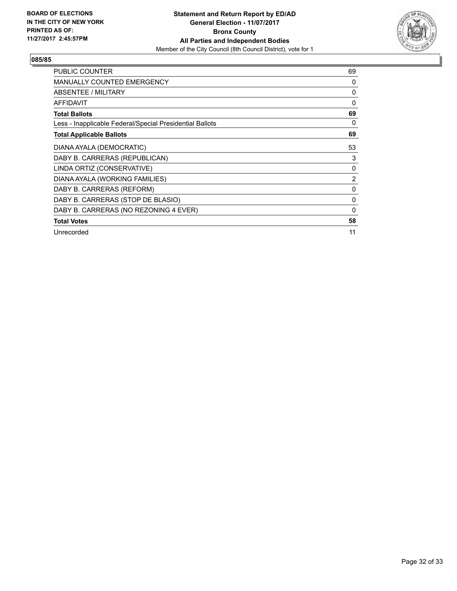

| <b>PUBLIC COUNTER</b>                                    | 69             |
|----------------------------------------------------------|----------------|
| <b>MANUALLY COUNTED EMERGENCY</b>                        | 0              |
| <b>ABSENTEE / MILITARY</b>                               | 0              |
| AFFIDAVIT                                                | $\Omega$       |
| <b>Total Ballots</b>                                     | 69             |
| Less - Inapplicable Federal/Special Presidential Ballots | 0              |
| <b>Total Applicable Ballots</b>                          | 69             |
| DIANA AYALA (DEMOCRATIC)                                 | 53             |
| DABY B. CARRERAS (REPUBLICAN)                            | 3              |
| LINDA ORTIZ (CONSERVATIVE)                               | 0              |
| DIANA AYALA (WORKING FAMILIES)                           | $\overline{2}$ |
| DABY B. CARRERAS (REFORM)                                | 0              |
| DABY B. CARRERAS (STOP DE BLASIO)                        | 0              |
| DABY B. CARRERAS (NO REZONING 4 EVER)                    | 0              |
| <b>Total Votes</b>                                       | 58             |
| Unrecorded                                               | 11             |